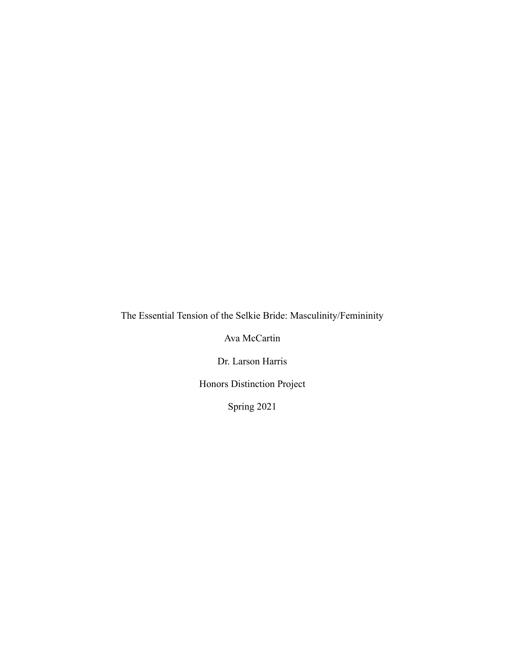The Essential Tension of the Selkie Bride: Masculinity/Femininity

Ava McCartin

Dr. Larson Harris

Honors Distinction Project

Spring 2021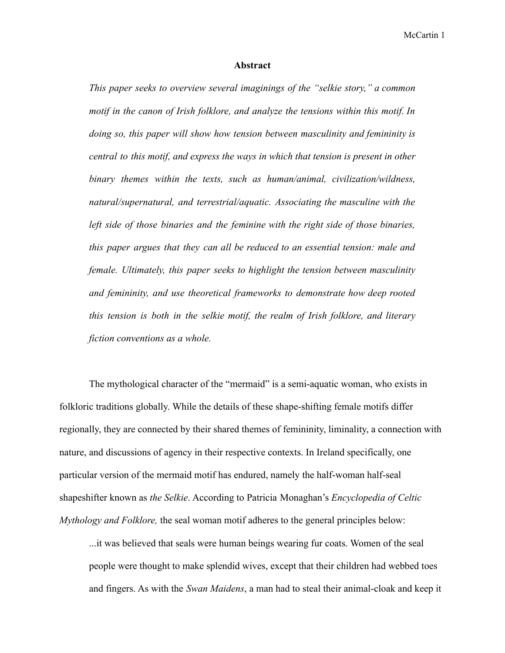## **Abstract**

*This paper seeks to overview several imaginings of the "selkie story," a common motif in the canon of Irish folklore, and analyze the tensions within this motif. In doing so, this paper will show how tension between masculinity and femininity is central to this motif, and express the ways in which that tension is present in other binary themes within the texts, such as human/animal, civilization/wildness, natural/supernatural, and terrestrial/aquatic. Associating the masculine with the left side of those binaries and the feminine with the right side of those binaries, this paper argues that they can all be reduced to an essential tension: male and female. Ultimately, this paper seeks to highlight the tension between masculinity and femininity, and use theoretical frameworks to demonstrate how deep rooted this tension is both in the selkie motif, the realm of Irish folklore, and literary fiction conventions as a whole.*

The mythological character of the "mermaid" is a semi-aquatic woman, who exists in folkloric traditions globally. While the details of these shape-shifting female motifs differ regionally, they are connected by their shared themes of femininity, liminality, a connection with nature, and discussions of agency in their respective contexts. In Ireland specifically, one particular version of the mermaid motif has endured, namely the half-woman half-seal shapeshifter known as *the Selkie*. According to Patricia Monaghan's *Encyclopedia of Celtic Mythology and Folklore,* the seal woman motif adheres to the general principles below:

...it was believed that seals were human beings wearing fur coats. Women of the seal people were thought to make splendid wives, except that their children had webbed toes and fingers. As with the *Swan Maidens*, a man had to steal their animal-cloak and keep it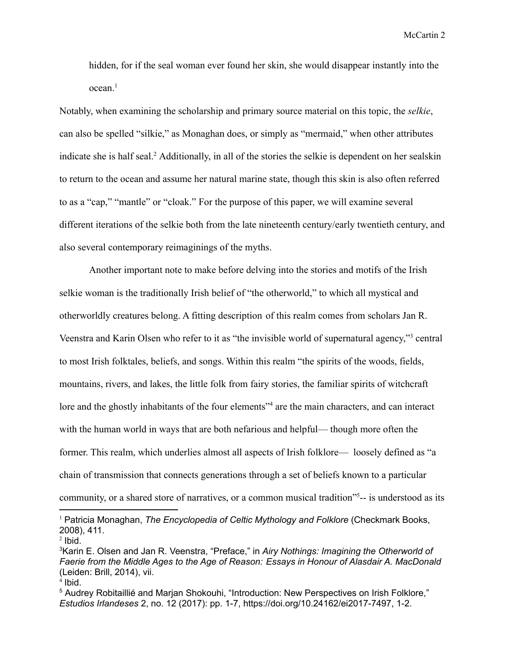hidden, for if the seal woman ever found her skin, she would disappear instantly into the  $ocean.<sup>1</sup>$ 

Notably, when examining the scholarship and primary source material on this topic, the *selkie*, can also be spelled "silkie," as Monaghan does, or simply as "mermaid," when other attributes indicate she is half seal.<sup>2</sup> Additionally, in all of the stories the selkie is dependent on her sealskin to return to the ocean and assume her natural marine state, though this skin is also often referred to as a "cap," "mantle" or "cloak." For the purpose of this paper, we will examine several different iterations of the selkie both from the late nineteenth century/early twentieth century, and also several contemporary reimaginings of the myths.

Another important note to make before delving into the stories and motifs of the Irish selkie woman is the traditionally Irish belief of "the otherworld," to which all mystical and otherworldly creatures belong. A fitting description of this realm comes from scholars Jan R. Veenstra and Karin Olsen who refer to it as "the invisible world of supernatural agency,"<sup>3</sup> central to most Irish folktales, beliefs, and songs. Within this realm "the spirits of the woods, fields, mountains, rivers, and lakes, the little folk from fairy stories, the familiar spirits of witchcraft lore and the ghostly inhabitants of the four elements<sup>34</sup> are the main characters, and can interact with the human world in ways that are both nefarious and helpful— though more often the former. This realm, which underlies almost all aspects of Irish folklore— loosely defined as "a chain of transmission that connects generations through a set of beliefs known to a particular community, or a shared store of narratives, or a common musical tradition"<sup>5</sup>-- is understood as its

 $2$  Ibid. <sup>1</sup> Patricia Monaghan, *The Encyclopedia of Celtic Mythology and Folklore* (Checkmark Books, 2008), 411.

<sup>3</sup>Karin E. Olsen and Jan R. Veenstra, "Preface," in *Airy Nothings: Imagining the Otherworld of Faerie from the Middle Ages to the Age of Reason: Essays in Honour of Alasdair A. MacDonald* (Leiden: Brill, 2014), vii.

<sup>4</sup> Ibid.

<sup>5</sup> Audrey Robitaillié and Marjan Shokouhi, "Introduction: New Perspectives on Irish Folklore," *Estudios Irlandeses* 2, no. 12 (2017): pp. 1-7, https://doi.org/10.24162/ei2017-7497, 1-2.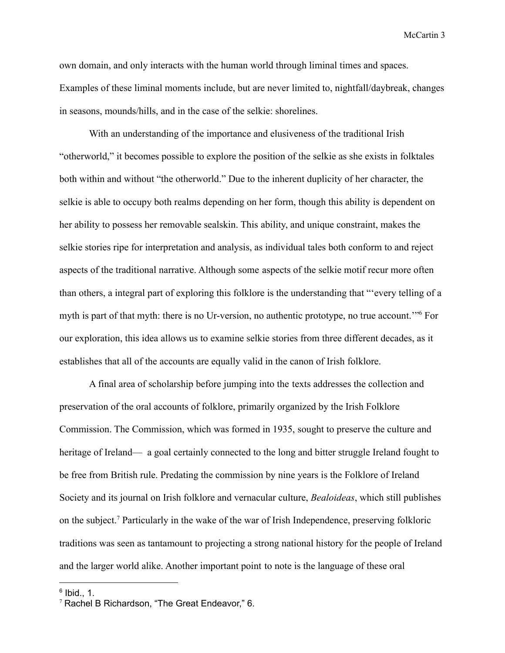own domain, and only interacts with the human world through liminal times and spaces. Examples of these liminal moments include, but are never limited to, nightfall/daybreak, changes in seasons, mounds/hills, and in the case of the selkie: shorelines.

With an understanding of the importance and elusiveness of the traditional Irish "otherworld," it becomes possible to explore the position of the selkie as she exists in folktales both within and without "the otherworld." Due to the inherent duplicity of her character, the selkie is able to occupy both realms depending on her form, though this ability is dependent on her ability to possess her removable sealskin. This ability, and unique constraint, makes the selkie stories ripe for interpretation and analysis, as individual tales both conform to and reject aspects of the traditional narrative. Although some aspects of the selkie motif recur more often than others, a integral part of exploring this folklore is the understanding that "'every telling of a myth is part of that myth: there is no Ur-version, no authentic prototype, no true account.'"<sup>6</sup> For our exploration, this idea allows us to examine selkie stories from three different decades, as it establishes that all of the accounts are equally valid in the canon of Irish folklore.

A final area of scholarship before jumping into the texts addresses the collection and preservation of the oral accounts of folklore, primarily organized by the Irish Folklore Commission. The Commission, which was formed in 1935, sought to preserve the culture and heritage of Ireland— a goal certainly connected to the long and bitter struggle Ireland fought to be free from British rule. Predating the commission by nine years is the Folklore of Ireland Society and its journal on Irish folklore and vernacular culture, *Bealoideas*, which still publishes on the subject.<sup>7</sup> Particularly in the wake of the war of Irish Independence, preserving folkloric traditions was seen as tantamount to projecting a strong national history for the people of Ireland and the larger world alike. Another important point to note is the language of these oral

 $6$  Ibid., 1.

 $7$  Rachel B Richardson, "The Great Endeavor," 6.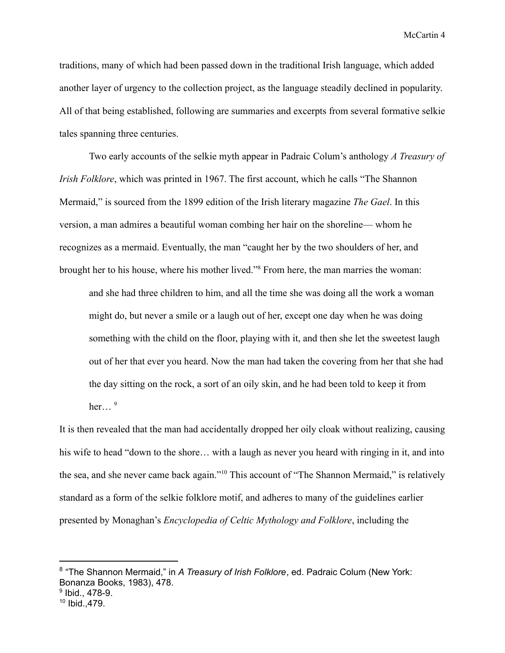traditions, many of which had been passed down in the traditional Irish language, which added another layer of urgency to the collection project, as the language steadily declined in popularity. All of that being established, following are summaries and excerpts from several formative selkie tales spanning three centuries.

Two early accounts of the selkie myth appear in Padraic Colum's anthology *A Treasury of Irish Folklore*, which was printed in 1967. The first account, which he calls "The Shannon Mermaid," is sourced from the 1899 edition of the Irish literary magazine *The Gael*. In this version, a man admires a beautiful woman combing her hair on the shoreline— whom he recognizes as a mermaid. Eventually, the man "caught her by the two shoulders of her, and brought her to his house, where his mother lived."<sup>8</sup> From here, the man marries the woman:

and she had three children to him, and all the time she was doing all the work a woman might do, but never a smile or a laugh out of her, except one day when he was doing something with the child on the floor, playing with it, and then she let the sweetest laugh out of her that ever you heard. Now the man had taken the covering from her that she had the day sitting on the rock, a sort of an oily skin, and he had been told to keep it from her…  $9$ 

It is then revealed that the man had accidentally dropped her oily cloak without realizing, causing his wife to head "down to the shore... with a laugh as never you heard with ringing in it, and into the sea, and she never came back again."<sup>10</sup> This account of "The Shannon Mermaid," is relatively standard as a form of the selkie folklore motif, and adheres to many of the guidelines earlier presented by Monaghan's *Encyclopedia of Celtic Mythology and Folklore*, including the

9 Ibid., 478-9.

<sup>8</sup> "The Shannon Mermaid," in *A Treasury of Irish Folklore*, ed. Padraic Colum (New York: Bonanza Books, 1983), 478.

<sup>10</sup> Ibid.,479.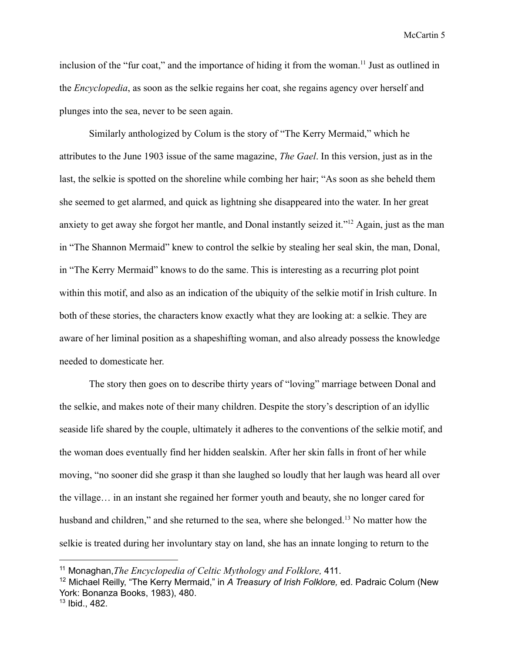inclusion of the "fur coat," and the importance of hiding it from the woman.<sup>11</sup> Just as outlined in the *Encyclopedia*, as soon as the selkie regains her coat, she regains agency over herself and plunges into the sea, never to be seen again.

Similarly anthologized by Colum is the story of "The Kerry Mermaid," which he attributes to the June 1903 issue of the same magazine, *The Gael*. In this version, just as in the last, the selkie is spotted on the shoreline while combing her hair; "As soon as she beheld them she seemed to get alarmed, and quick as lightning she disappeared into the water. In her great anxiety to get away she forgot her mantle, and Donal instantly seized it."<sup>12</sup> Again, just as the man in "The Shannon Mermaid" knew to control the selkie by stealing her seal skin, the man, Donal, in "The Kerry Mermaid" knows to do the same. This is interesting as a recurring plot point within this motif, and also as an indication of the ubiquity of the selkie motif in Irish culture. In both of these stories, the characters know exactly what they are looking at: a selkie. They are aware of her liminal position as a shapeshifting woman, and also already possess the knowledge needed to domesticate her.

The story then goes on to describe thirty years of "loving" marriage between Donal and the selkie, and makes note of their many children. Despite the story's description of an idyllic seaside life shared by the couple, ultimately it adheres to the conventions of the selkie motif, and the woman does eventually find her hidden sealskin. After her skin falls in front of her while moving, "no sooner did she grasp it than she laughed so loudly that her laugh was heard all over the village… in an instant she regained her former youth and beauty, she no longer cared for husband and children," and she returned to the sea, where she belonged.<sup>13</sup> No matter how the selkie is treated during her involuntary stay on land, she has an innate longing to return to the

13 Ibid., 482.

<sup>11</sup> Monaghan,*The Encyclopedia of Celtic Mythology and Folklore,* 411.

<sup>12</sup> Michael Reilly, "The Kerry Mermaid," in *A Treasury of Irish Folklore,* ed. Padraic Colum (New York: Bonanza Books, 1983), 480.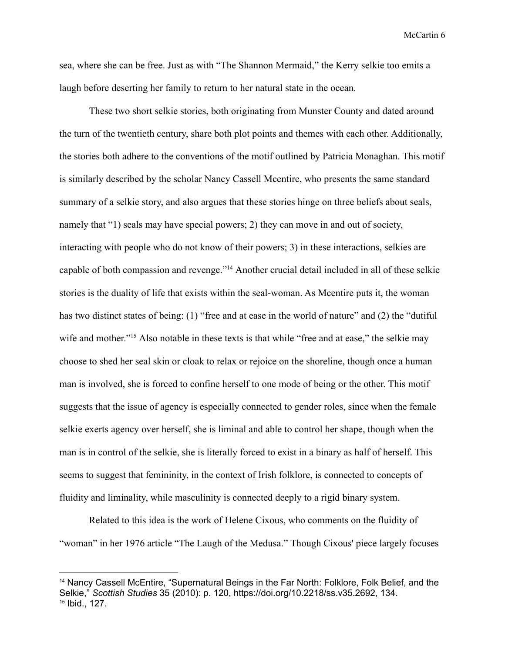sea, where she can be free. Just as with "The Shannon Mermaid," the Kerry selkie too emits a laugh before deserting her family to return to her natural state in the ocean.

These two short selkie stories, both originating from Munster County and dated around the turn of the twentieth century, share both plot points and themes with each other. Additionally, the stories both adhere to the conventions of the motif outlined by Patricia Monaghan. This motif is similarly described by the scholar Nancy Cassell Mcentire, who presents the same standard summary of a selkie story, and also argues that these stories hinge on three beliefs about seals, namely that "1) seals may have special powers; 2) they can move in and out of society, interacting with people who do not know of their powers; 3) in these interactions, selkies are capable of both compassion and revenge."<sup>14</sup> Another crucial detail included in all of these selkie stories is the duality of life that exists within the seal-woman. As Mcentire puts it, the woman has two distinct states of being: (1) "free and at ease in the world of nature" and (2) the "dutiful wife and mother."<sup>15</sup> Also notable in these texts is that while "free and at ease," the selkie may choose to shed her seal skin or cloak to relax or rejoice on the shoreline, though once a human man is involved, she is forced to confine herself to one mode of being or the other. This motif suggests that the issue of agency is especially connected to gender roles, since when the female selkie exerts agency over herself, she is liminal and able to control her shape, though when the man is in control of the selkie, she is literally forced to exist in a binary as half of herself. This seems to suggest that femininity, in the context of Irish folklore, is connected to concepts of fluidity and liminality, while masculinity is connected deeply to a rigid binary system.

Related to this idea is the work of Helene Cixous, who comments on the fluidity of "woman" in her 1976 article "The Laugh of the Medusa." Though Cixous' piece largely focuses

<sup>15</sup> Ibid., 127. <sup>14</sup> Nancy Cassell McEntire, "Supernatural Beings in the Far North: Folklore, Folk Belief, and the Selkie," *Scottish Studies* 35 (2010): p. 120, https://doi.org/10.2218/ss.v35.2692, 134.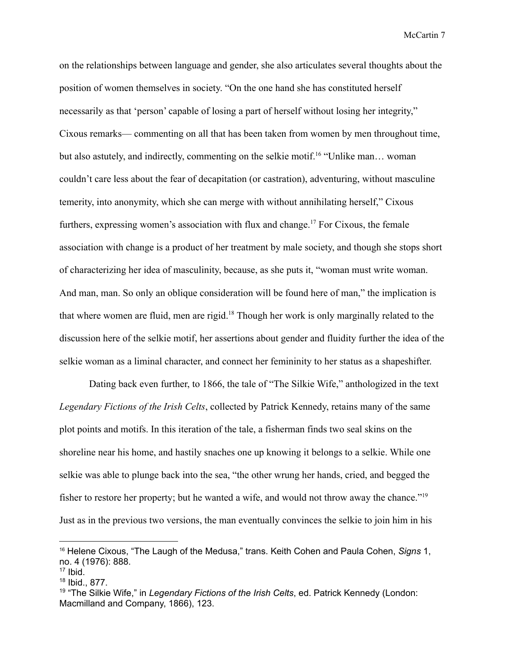on the relationships between language and gender, she also articulates several thoughts about the position of women themselves in society. "On the one hand she has constituted herself necessarily as that 'person' capable of losing a part of herself without losing her integrity," Cixous remarks— commenting on all that has been taken from women by men throughout time, but also astutely, and indirectly, commenting on the selkie motif.<sup>16</sup> "Unlike man... woman couldn't care less about the fear of decapitation (or castration), adventuring, without masculine temerity, into anonymity, which she can merge with without annihilating herself," Cixous furthers, expressing women's association with flux and change.<sup>17</sup> For Cixous, the female association with change is a product of her treatment by male society, and though she stops short of characterizing her idea of masculinity, because, as she puts it, "woman must write woman. And man, man. So only an oblique consideration will be found here of man," the implication is that where women are fluid, men are rigid.<sup>18</sup> Though her work is only marginally related to the discussion here of the selkie motif, her assertions about gender and fluidity further the idea of the selkie woman as a liminal character, and connect her femininity to her status as a shapeshifter.

Dating back even further, to 1866, the tale of "The Silkie Wife," anthologized in the text *Legendary Fictions of the Irish Celts*, collected by Patrick Kennedy, retains many of the same plot points and motifs. In this iteration of the tale, a fisherman finds two seal skins on the shoreline near his home, and hastily snaches one up knowing it belongs to a selkie. While one selkie was able to plunge back into the sea, "the other wrung her hands, cried, and begged the fisher to restore her property; but he wanted a wife, and would not throw away the chance."<sup>19</sup> Just as in the previous two versions, the man eventually convinces the selkie to join him in his

<sup>16</sup> Helene Cixous, "The Laugh of the Medusa," trans. Keith Cohen and Paula Cohen, *Signs* 1, no. 4 (1976): 888.

 $17$  Ibid.

<sup>18</sup> Ibid., 877.

<sup>19</sup> "The Silkie Wife," in *Legendary Fictions of the Irish Celts*, ed. Patrick Kennedy (London: Macmilland and Company, 1866), 123.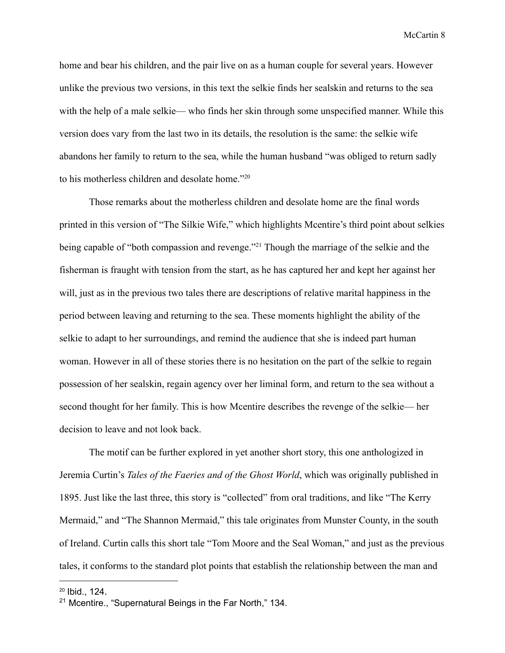home and bear his children, and the pair live on as a human couple for several years. However unlike the previous two versions, in this text the selkie finds her sealskin and returns to the sea with the help of a male selkie— who finds her skin through some unspecified manner. While this version does vary from the last two in its details, the resolution is the same: the selkie wife abandons her family to return to the sea, while the human husband "was obliged to return sadly to his motherless children and desolate home."<sup>20</sup>

Those remarks about the motherless children and desolate home are the final words printed in this version of "The Silkie Wife," which highlights Mcentire's third point about selkies being capable of "both compassion and revenge."<sup>21</sup> Though the marriage of the selkie and the fisherman is fraught with tension from the start, as he has captured her and kept her against her will, just as in the previous two tales there are descriptions of relative marital happiness in the period between leaving and returning to the sea. These moments highlight the ability of the selkie to adapt to her surroundings, and remind the audience that she is indeed part human woman. However in all of these stories there is no hesitation on the part of the selkie to regain possession of her sealskin, regain agency over her liminal form, and return to the sea without a second thought for her family. This is how Mcentire describes the revenge of the selkie— her decision to leave and not look back.

The motif can be further explored in yet another short story, this one anthologized in Jeremia Curtin's *Tales of the Faeries and of the Ghost World*, which was originally published in 1895. Just like the last three, this story is "collected" from oral traditions, and like "The Kerry Mermaid," and "The Shannon Mermaid," this tale originates from Munster County, in the south of Ireland. Curtin calls this short tale "Tom Moore and the Seal Woman," and just as the previous tales, it conforms to the standard plot points that establish the relationship between the man and

<sup>20</sup> Ibid., 124.

<sup>&</sup>lt;sup>21</sup> Mcentire., "Supernatural Beings in the Far North," 134.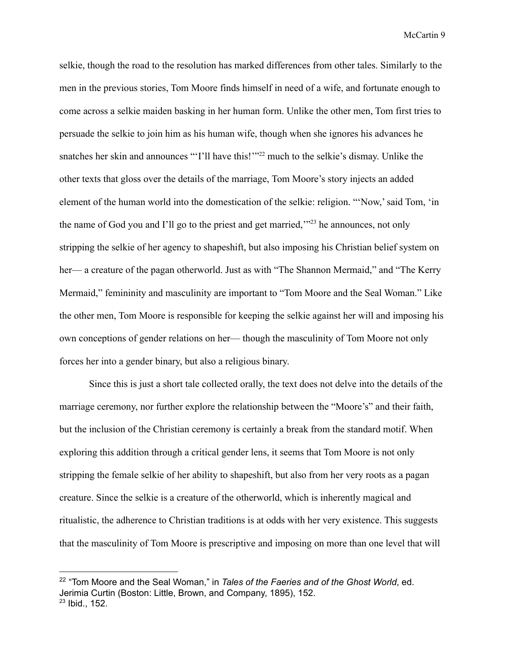selkie, though the road to the resolution has marked differences from other tales. Similarly to the men in the previous stories, Tom Moore finds himself in need of a wife, and fortunate enough to come across a selkie maiden basking in her human form. Unlike the other men, Tom first tries to persuade the selkie to join him as his human wife, though when she ignores his advances he snatches her skin and announces "'I'll have this!'"<sup>22</sup> much to the selkie's dismay. Unlike the other texts that gloss over the details of the marriage, Tom Moore's story injects an added element of the human world into the domestication of the selkie: religion. "'Now,' said Tom, 'in the name of God you and I'll go to the priest and get married,"<sup>23</sup> he announces, not only stripping the selkie of her agency to shapeshift, but also imposing his Christian belief system on her— a creature of the pagan otherworld. Just as with "The Shannon Mermaid," and "The Kerry Mermaid," femininity and masculinity are important to "Tom Moore and the Seal Woman." Like the other men, Tom Moore is responsible for keeping the selkie against her will and imposing his own conceptions of gender relations on her— though the masculinity of Tom Moore not only forces her into a gender binary, but also a religious binary.

Since this is just a short tale collected orally, the text does not delve into the details of the marriage ceremony, nor further explore the relationship between the "Moore's" and their faith, but the inclusion of the Christian ceremony is certainly a break from the standard motif. When exploring this addition through a critical gender lens, it seems that Tom Moore is not only stripping the female selkie of her ability to shapeshift, but also from her very roots as a pagan creature. Since the selkie is a creature of the otherworld, which is inherently magical and ritualistic, the adherence to Christian traditions is at odds with her very existence. This suggests that the masculinity of Tom Moore is prescriptive and imposing on more than one level that will

<sup>23</sup> Ibid., 152. 22 "Tom Moore and the Seal Woman," in *Tales of the Faeries and of the Ghost World*, ed. Jerimia Curtin (Boston: Little, Brown, and Company, 1895), 152.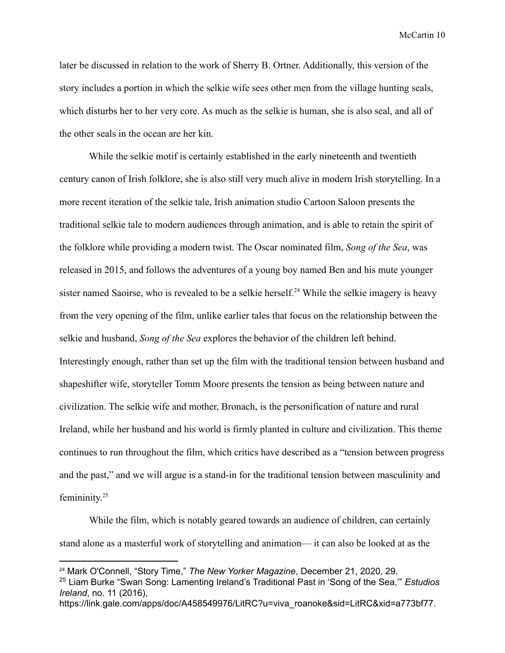later be discussed in relation to the work of Sherry B. Ortner. Additionally, this version of the story includes a portion in which the selkie wife sees other men from the village hunting seals, which disturbs her to her very core. As much as the selkie is human, she is also seal, and all of the other seals in the ocean are her kin.

While the selkie motif is certainly established in the early nineteenth and twentieth century canon of Irish folklore, she is also still very much alive in modern Irish storytelling. In a more recent iteration of the selkie tale, Irish animation studio Cartoon Saloon presents the traditional selkie tale to modern audiences through animation, and is able to retain the spirit of the folklore while providing a modern twist. The Oscar nominated film, *Song of the Sea*, was released in 2015, and follows the adventures of a young boy named Ben and his mute younger sister named Saoirse, who is revealed to be a selkie herself.<sup>24</sup> While the selkie imagery is heavy from the very opening of the film, unlike earlier tales that focus on the relationship between the selkie and husband, *Song of the Sea* explores the behavior of the children left behind. Interestingly enough, rather than set up the film with the traditional tension between husband and shapeshifter wife, storyteller Tomm Moore presents the tension as being between nature and civilization. The selkie wife and mother, Bronach, is the personification of nature and rural Ireland, while her husband and his world is firmly planted in culture and civilization. This theme continues to run throughout the film, which critics have described as a "tension between progress and the past," and we will argue is a stand-in for the traditional tension between masculinity and femininity. 25

While the film, which is notably geared towards an audience of children, can certainly stand alone as a masterful work of storytelling and animation— it can also be looked at as the

<sup>24</sup> Mark O'Connell, "Story Time," *The New Yorker Magazine*, December 21, 2020, 29.

<sup>25</sup> Liam Burke "Swan Song: Lamenting Ireland's Traditional Past in 'Song of the Sea,'" *Estudios Ireland*, no. 11 (2016),

https://link.gale.com/apps/doc/A458549976/LitRC?u=viva\_roanoke&sid=LitRC&xid=a773bf77.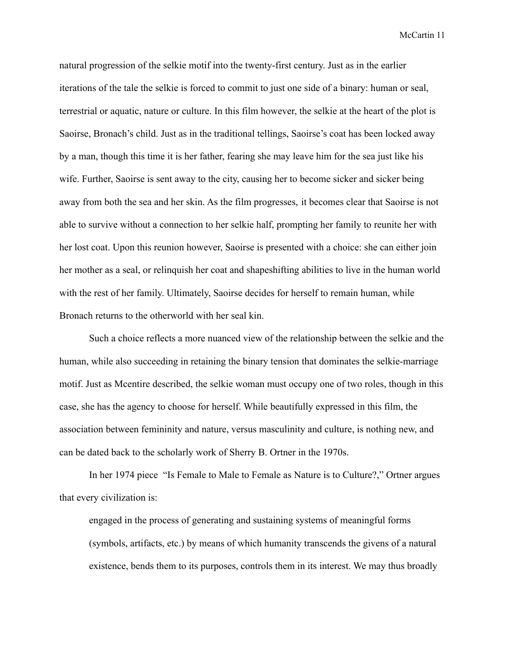natural progression of the selkie motif into the twenty-first century. Just as in the earlier iterations of the tale the selkie is forced to commit to just one side of a binary: human or seal, terrestrial or aquatic, nature or culture. In this film however, the selkie at the heart of the plot is Saoirse, Bronach's child. Just as in the traditional tellings, Saoirse's coat has been locked away by a man, though this time it is her father, fearing she may leave him for the sea just like his wife. Further, Saoirse is sent away to the city, causing her to become sicker and sicker being away from both the sea and her skin. As the film progresses, it becomes clear that Saoirse is not able to survive without a connection to her selkie half, prompting her family to reunite her with her lost coat. Upon this reunion however, Saoirse is presented with a choice: she can either join her mother as a seal, or relinquish her coat and shapeshifting abilities to live in the human world with the rest of her family. Ultimately, Saoirse decides for herself to remain human, while Bronach returns to the otherworld with her seal kin.

Such a choice reflects a more nuanced view of the relationship between the selkie and the human, while also succeeding in retaining the binary tension that dominates the selkie-marriage motif. Just as Mcentire described, the selkie woman must occupy one of two roles, though in this case, she has the agency to choose for herself. While beautifully expressed in this film, the association between femininity and nature, versus masculinity and culture, is nothing new, and can be dated back to the scholarly work of Sherry B. Ortner in the 1970s.

In her 1974 piece "Is Female to Male to Female as Nature is to Culture?," Ortner argues that every civilization is:

engaged in the process of generating and sustaining systems of meaningful forms (symbols, artifacts, etc.) by means of which humanity transcends the givens of a natural existence, bends them to its purposes, controls them in its interest. We may thus broadly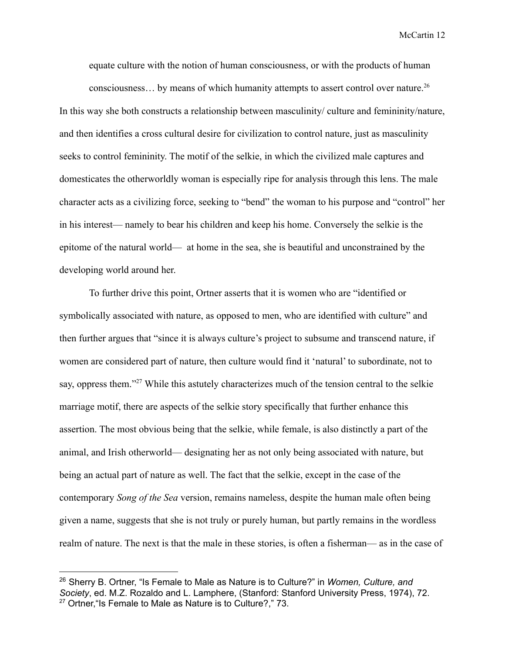equate culture with the notion of human consciousness, or with the products of human consciousness... by means of which humanity attempts to assert control over nature.<sup>26</sup>

In this way she both constructs a relationship between masculinity/ culture and femininity/nature, and then identifies a cross cultural desire for civilization to control nature, just as masculinity seeks to control femininity. The motif of the selkie, in which the civilized male captures and domesticates the otherworldly woman is especially ripe for analysis through this lens. The male character acts as a civilizing force, seeking to "bend" the woman to his purpose and "control" her in his interest— namely to bear his children and keep his home. Conversely the selkie is the epitome of the natural world— at home in the sea, she is beautiful and unconstrained by the developing world around her.

To further drive this point, Ortner asserts that it is women who are "identified or symbolically associated with nature, as opposed to men, who are identified with culture" and then further argues that "since it is always culture's project to subsume and transcend nature, if women are considered part of nature, then culture would find it 'natural' to subordinate, not to say, oppress them."<sup>27</sup> While this astutely characterizes much of the tension central to the selkie marriage motif, there are aspects of the selkie story specifically that further enhance this assertion. The most obvious being that the selkie, while female, is also distinctly a part of the animal, and Irish otherworld— designating her as not only being associated with nature, but being an actual part of nature as well. The fact that the selkie, except in the case of the contemporary *Song of the Sea* version, remains nameless, despite the human male often being given a name, suggests that she is not truly or purely human, but partly remains in the wordless realm of nature. The next is that the male in these stories, is often a fisherman— as in the case of

<sup>&</sup>lt;sup>27</sup> Ortner, "Is Female to Male as Nature is to Culture?," 73. <sup>26</sup> Sherry B. Ortner, "Is Female to Male as Nature is to Culture?" in *Women, Culture, and Society*, ed. M.Z. Rozaldo and L. Lamphere, (Stanford: Stanford University Press, 1974), 72.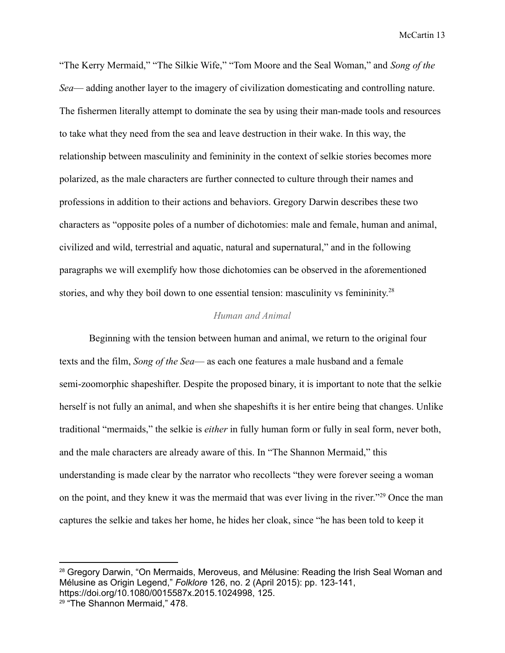"The Kerry Mermaid," "The Silkie Wife," "Tom Moore and the Seal Woman," and *Song of the Sea*— adding another layer to the imagery of civilization domesticating and controlling nature. The fishermen literally attempt to dominate the sea by using their man-made tools and resources to take what they need from the sea and leave destruction in their wake. In this way, the relationship between masculinity and femininity in the context of selkie stories becomes more polarized, as the male characters are further connected to culture through their names and professions in addition to their actions and behaviors. Gregory Darwin describes these two characters as "opposite poles of a number of dichotomies: male and female, human and animal, civilized and wild, terrestrial and aquatic, natural and supernatural," and in the following paragraphs we will exemplify how those dichotomies can be observed in the aforementioned stories, and why they boil down to one essential tension: masculinity vs femininity.<sup>28</sup>

## *Human and Animal*

Beginning with the tension between human and animal, we return to the original four texts and the film, *Song of the Sea*— as each one features a male husband and a female semi-zoomorphic shapeshifter. Despite the proposed binary, it is important to note that the selkie herself is not fully an animal, and when she shapeshifts it is her entire being that changes. Unlike traditional "mermaids," the selkie is *either* in fully human form or fully in seal form, never both, and the male characters are already aware of this. In "The Shannon Mermaid," this understanding is made clear by the narrator who recollects "they were forever seeing a woman on the point, and they knew it was the mermaid that was ever living in the river."<sup>29</sup> Once the man captures the selkie and takes her home, he hides her cloak, since "he has been told to keep it

<sup>&</sup>lt;sup>28</sup> Gregory Darwin, "On Mermaids, Meroveus, and Mélusine: Reading the Irish Seal Woman and Mélusine as Origin Legend," *Folklore* 126, no. 2 (April 2015): pp. 123-141, https://doi.org/10.1080/0015587x.2015.1024998, 125.

<sup>29</sup> "The Shannon Mermaid," 478.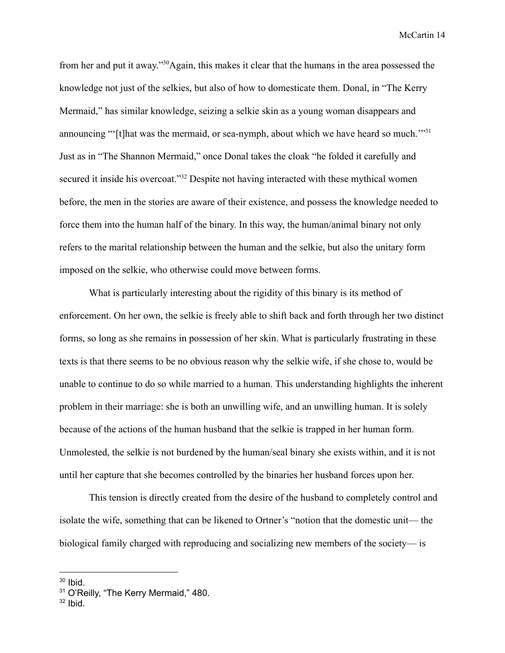from her and put it away."<sup>30</sup>Again, this makes it clear that the humans in the area possessed the knowledge not just of the selkies, but also of how to domesticate them. Donal, in "The Kerry Mermaid," has similar knowledge, seizing a selkie skin as a young woman disappears and announcing "'[t]hat was the mermaid, or sea-nymph, about which we have heard so much."<sup>31</sup> Just as in "The Shannon Mermaid," once Donal takes the cloak "he folded it carefully and secured it inside his overcoat."<sup>32</sup> Despite not having interacted with these mythical women before, the men in the stories are aware of their existence, and possess the knowledge needed to force them into the human half of the binary. In this way, the human/animal binary not only refers to the marital relationship between the human and the selkie, but also the unitary form imposed on the selkie, who otherwise could move between forms.

What is particularly interesting about the rigidity of this binary is its method of enforcement. On her own, the selkie is freely able to shift back and forth through her two distinct forms, so long as she remains in possession of her skin. What is particularly frustrating in these texts is that there seems to be no obvious reason why the selkie wife, if she chose to, would be unable to continue to do so while married to a human. This understanding highlights the inherent problem in their marriage: she is both an unwilling wife, and an unwilling human. It is solely because of the actions of the human husband that the selkie is trapped in her human form. Unmolested, the selkie is not burdened by the human/seal binary she exists within, and it is not until her capture that she becomes controlled by the binaries her husband forces upon her.

This tension is directly created from the desire of the husband to completely control and isolate the wife, something that can be likened to Ortner's "notion that the domestic unit— the biological family charged with reproducing and socializing new members of the society— is

<sup>&</sup>lt;sup>30</sup> Ibid.

<sup>&</sup>lt;sup>31</sup> O'Reilly, "The Kerry Mermaid," 480.

 $32$  lbid.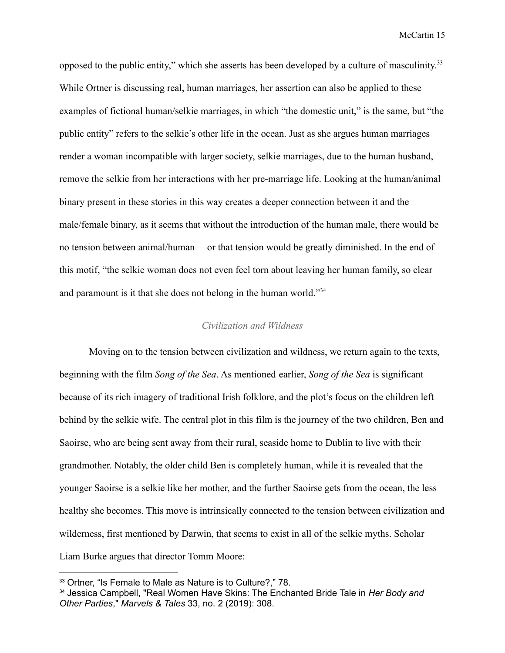opposed to the public entity," which she asserts has been developed by a culture of masculinity.<sup>33</sup> While Ortner is discussing real, human marriages, her assertion can also be applied to these examples of fictional human/selkie marriages, in which "the domestic unit," is the same, but "the public entity" refers to the selkie's other life in the ocean. Just as she argues human marriages render a woman incompatible with larger society, selkie marriages, due to the human husband, remove the selkie from her interactions with her pre-marriage life. Looking at the human/animal binary present in these stories in this way creates a deeper connection between it and the male/female binary, as it seems that without the introduction of the human male, there would be no tension between animal/human— or that tension would be greatly diminished. In the end of this motif, "the selkie woman does not even feel torn about leaving her human family, so clear and paramount is it that she does not belong in the human world."<sup>34</sup>

## *Civilization and Wildness*

Moving on to the tension between civilization and wildness, we return again to the texts, beginning with the film *Song of the Sea*. As mentioned earlier, *Song of the Sea* is significant because of its rich imagery of traditional Irish folklore, and the plot's focus on the children left behind by the selkie wife. The central plot in this film is the journey of the two children, Ben and Saoirse, who are being sent away from their rural, seaside home to Dublin to live with their grandmother. Notably, the older child Ben is completely human, while it is revealed that the younger Saoirse is a selkie like her mother, and the further Saoirse gets from the ocean, the less healthy she becomes. This move is intrinsically connected to the tension between civilization and wilderness, first mentioned by Darwin, that seems to exist in all of the selkie myths. Scholar Liam Burke argues that director Tomm Moore:

<sup>&</sup>lt;sup>33</sup> Ortner, "Is Female to Male as Nature is to Culture?," 78.

<sup>34</sup> Jessica Campbell, "Real Women Have Skins: The Enchanted Bride Tale in *Her Body and Other Parties*," *Marvels & Tales* 33, no. 2 (2019): 308.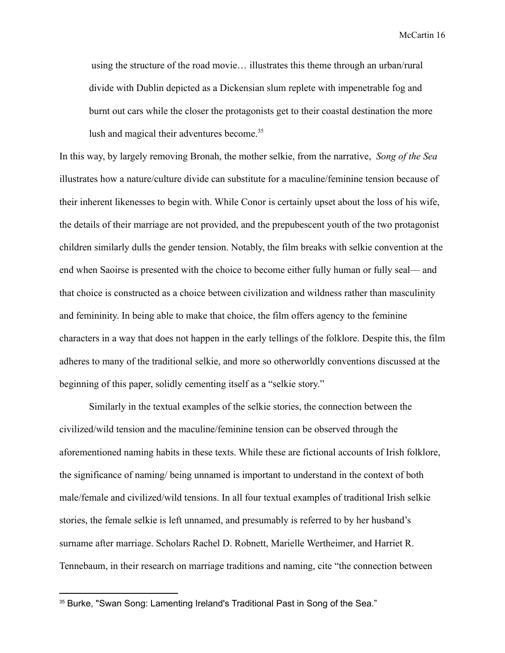using the structure of the road movie… illustrates this theme through an urban/rural divide with Dublin depicted as a Dickensian slum replete with impenetrable fog and burnt out cars while the closer the protagonists get to their coastal destination the more lush and magical their adventures become.<sup>35</sup>

In this way, by largely removing Bronah, the mother selkie, from the narrative, *Song of the Sea* illustrates how a nature/culture divide can substitute for a maculine/feminine tension because of their inherent likenesses to begin with. While Conor is certainly upset about the loss of his wife, the details of their marriage are not provided, and the prepubescent youth of the two protagonist children similarly dulls the gender tension. Notably, the film breaks with selkie convention at the end when Saoirse is presented with the choice to become either fully human or fully seal— and that choice is constructed as a choice between civilization and wildness rather than masculinity and femininity. In being able to make that choice, the film offers agency to the feminine characters in a way that does not happen in the early tellings of the folklore. Despite this, the film adheres to many of the traditional selkie, and more so otherworldly conventions discussed at the beginning of this paper, solidly cementing itself as a "selkie story."

Similarly in the textual examples of the selkie stories, the connection between the civilized/wild tension and the maculine/feminine tension can be observed through the aforementioned naming habits in these texts. While these are fictional accounts of Irish folklore, the significance of naming/ being unnamed is important to understand in the context of both male/female and civilized/wild tensions. In all four textual examples of traditional Irish selkie stories, the female selkie is left unnamed, and presumably is referred to by her husband's surname after marriage. Scholars Rachel D. Robnett, Marielle Wertheimer, and Harriet R. Tennebaum, in their research on marriage traditions and naming, cite "the connection between

<sup>&</sup>lt;sup>35</sup> Burke, "Swan Song: Lamenting Ireland's Traditional Past in Song of the Sea."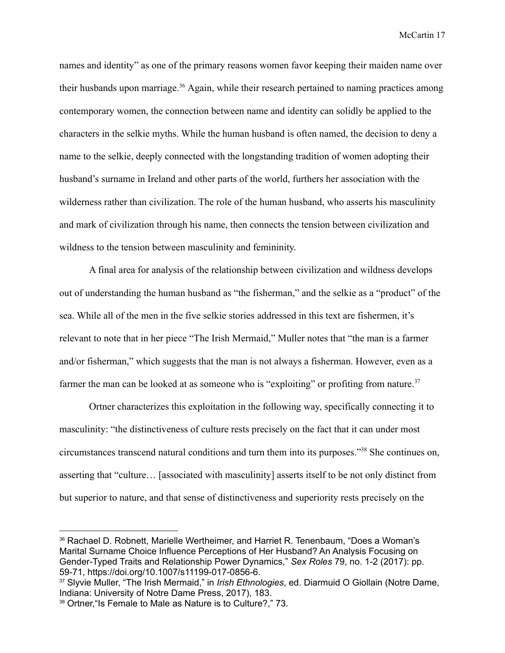names and identity" as one of the primary reasons women favor keeping their maiden name over their husbands upon marriage.<sup>36</sup> Again, while their research pertained to naming practices among contemporary women, the connection between name and identity can solidly be applied to the characters in the selkie myths. While the human husband is often named, the decision to deny a name to the selkie, deeply connected with the longstanding tradition of women adopting their husband's surname in Ireland and other parts of the world, furthers her association with the wilderness rather than civilization. The role of the human husband, who asserts his masculinity and mark of civilization through his name, then connects the tension between civilization and wildness to the tension between masculinity and femininity.

A final area for analysis of the relationship between civilization and wildness develops out of understanding the human husband as "the fisherman," and the selkie as a "product" of the sea. While all of the men in the five selkie stories addressed in this text are fishermen, it's relevant to note that in her piece "The Irish Mermaid," Muller notes that "the man is a farmer and/or fisherman," which suggests that the man is not always a fisherman. However, even as a farmer the man can be looked at as someone who is "exploiting" or profiting from nature.<sup>37</sup>

Ortner characterizes this exploitation in the following way, specifically connecting it to masculinity: "the distinctiveness of culture rests precisely on the fact that it can under most circumstances transcend natural conditions and turn them into its purposes."<sup>38</sup> She continues on, asserting that "culture… [associated with masculinity] asserts itself to be not only distinct from but superior to nature, and that sense of distinctiveness and superiority rests precisely on the

<sup>36</sup> Rachael D. Robnett, Marielle Wertheimer, and Harriet R. Tenenbaum, "Does a Woman's Marital Surname Choice Influence Perceptions of Her Husband? An Analysis Focusing on Gender-Typed Traits and Relationship Power Dynamics," *Sex Roles* 79, no. 1-2 (2017): pp. 59-71, https://doi.org/10.1007/s11199-017-0856-6.

<sup>37</sup> Slyvie Muller, "The Irish Mermaid," in *Irish Ethnologies*, ed. Diarmuid O Giollain (Notre Dame, Indiana: University of Notre Dame Press, 2017), 183.

<sup>38</sup> Ortner, "Is Female to Male as Nature is to Culture?," 73.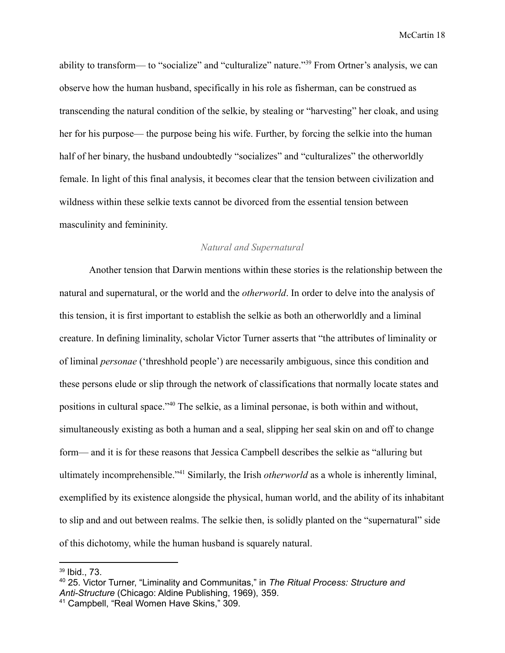ability to transform— to "socialize" and "culturalize" nature."<sup>39</sup> From Ortner's analysis, we can observe how the human husband, specifically in his role as fisherman, can be construed as transcending the natural condition of the selkie, by stealing or "harvesting" her cloak, and using her for his purpose— the purpose being his wife. Further, by forcing the selkie into the human half of her binary, the husband undoubtedly "socializes" and "culturalizes" the otherworldly female. In light of this final analysis, it becomes clear that the tension between civilization and wildness within these selkie texts cannot be divorced from the essential tension between masculinity and femininity.

## *Natural and Supernatural*

Another tension that Darwin mentions within these stories is the relationship between the natural and supernatural, or the world and the *otherworld*. In order to delve into the analysis of this tension, it is first important to establish the selkie as both an otherworldly and a liminal creature. In defining liminality, scholar Victor Turner asserts that "the attributes of liminality or of liminal *personae* ('threshhold people') are necessarily ambiguous, since this condition and these persons elude or slip through the network of classifications that normally locate states and positions in cultural space."<sup>40</sup> The selkie, as a liminal personae, is both within and without, simultaneously existing as both a human and a seal, slipping her seal skin on and off to change form— and it is for these reasons that Jessica Campbell describes the selkie as "alluring but ultimately incomprehensible."<sup>41</sup> Similarly, the Irish *otherworld* as a whole is inherently liminal, exemplified by its existence alongside the physical, human world, and the ability of its inhabitant to slip and and out between realms. The selkie then, is solidly planted on the "supernatural" side of this dichotomy, while the human husband is squarely natural.

<sup>39</sup> Ibid., 73.

<sup>40</sup> 25. Victor Turner, "Liminality and Communitas," in *The Ritual Process: Structure and Anti-Structure* (Chicago: Aldine Publishing, 1969), 359.

<sup>41</sup> Campbell, "Real Women Have Skins," 309.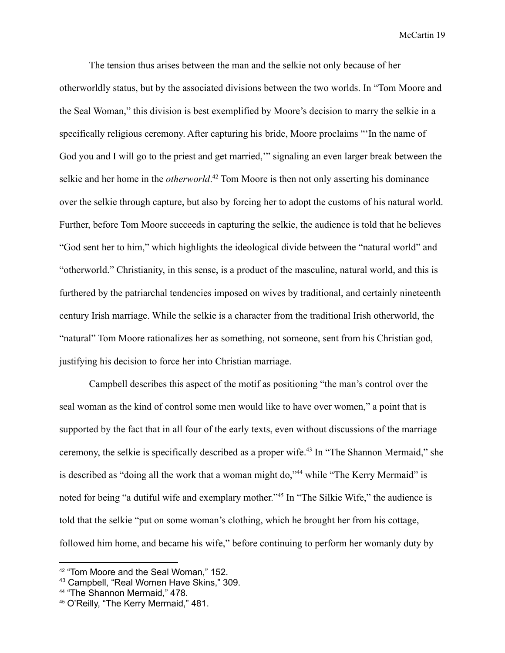The tension thus arises between the man and the selkie not only because of her otherworldly status, but by the associated divisions between the two worlds. In "Tom Moore and the Seal Woman," this division is best exemplified by Moore's decision to marry the selkie in a specifically religious ceremony. After capturing his bride, Moore proclaims "'In the name of God you and I will go to the priest and get married,'" signaling an even larger break between the selkie and her home in the *otherworld*. <sup>42</sup> Tom Moore is then not only asserting his dominance over the selkie through capture, but also by forcing her to adopt the customs of his natural world. Further, before Tom Moore succeeds in capturing the selkie, the audience is told that he believes "God sent her to him," which highlights the ideological divide between the "natural world" and "otherworld." Christianity, in this sense, is a product of the masculine, natural world, and this is furthered by the patriarchal tendencies imposed on wives by traditional, and certainly nineteenth century Irish marriage. While the selkie is a character from the traditional Irish otherworld, the "natural" Tom Moore rationalizes her as something, not someone, sent from his Christian god, justifying his decision to force her into Christian marriage.

Campbell describes this aspect of the motif as positioning "the man's control over the seal woman as the kind of control some men would like to have over women," a point that is supported by the fact that in all four of the early texts, even without discussions of the marriage ceremony, the selkie is specifically described as a proper wife.<sup>43</sup> In "The Shannon Mermaid," she is described as "doing all the work that a woman might do,"<sup>44</sup> while "The Kerry Mermaid" is noted for being "a dutiful wife and exemplary mother."<sup>45</sup> In "The Silkie Wife," the audience is told that the selkie "put on some woman's clothing, which he brought her from his cottage, followed him home, and became his wife," before continuing to perform her womanly duty by

<sup>42</sup> "Tom Moore and the Seal Woman," 152.

<sup>43</sup> Campbell, "Real Women Have Skins," 309.

<sup>44</sup> "The Shannon Mermaid," 478.

<sup>45</sup> O'Reilly, "The Kerry Mermaid," 481.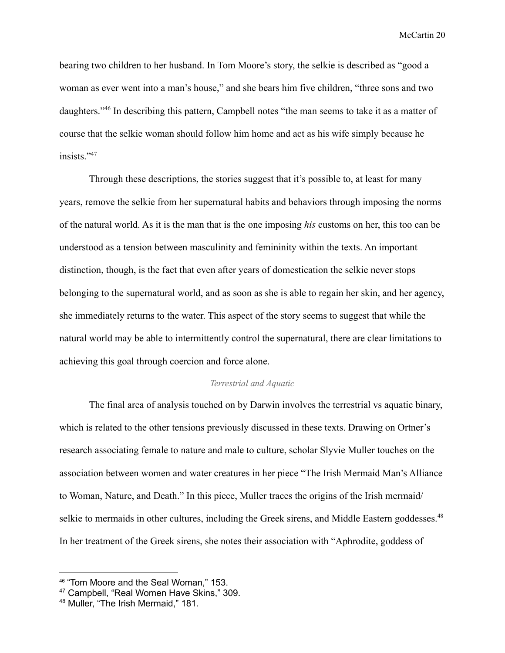bearing two children to her husband. In Tom Moore's story, the selkie is described as "good a woman as ever went into a man's house," and she bears him five children, "three sons and two daughters."<sup>46</sup> In describing this pattern, Campbell notes "the man seems to take it as a matter of course that the selkie woman should follow him home and act as his wife simply because he insists<sup>"47</sup>

Through these descriptions, the stories suggest that it's possible to, at least for many years, remove the selkie from her supernatural habits and behaviors through imposing the norms of the natural world. As it is the man that is the one imposing *his* customs on her, this too can be understood as a tension between masculinity and femininity within the texts. An important distinction, though, is the fact that even after years of domestication the selkie never stops belonging to the supernatural world, and as soon as she is able to regain her skin, and her agency, she immediately returns to the water. This aspect of the story seems to suggest that while the natural world may be able to intermittently control the supernatural, there are clear limitations to achieving this goal through coercion and force alone.

#### *Terrestrial and Aquatic*

The final area of analysis touched on by Darwin involves the terrestrial vs aquatic binary, which is related to the other tensions previously discussed in these texts. Drawing on Ortner's research associating female to nature and male to culture, scholar Slyvie Muller touches on the association between women and water creatures in her piece "The Irish Mermaid Man's Alliance to Woman, Nature, and Death." In this piece, Muller traces the origins of the Irish mermaid/ selkie to mermaids in other cultures, including the Greek sirens, and Middle Eastern goddesses.<sup>48</sup> In her treatment of the Greek sirens, she notes their association with "Aphrodite, goddess of

<sup>46</sup> "Tom Moore and the Seal Woman," 153.

<sup>47</sup> Campbell, "Real Women Have Skins," 309.

<sup>48</sup> Muller, "The Irish Mermaid," 181.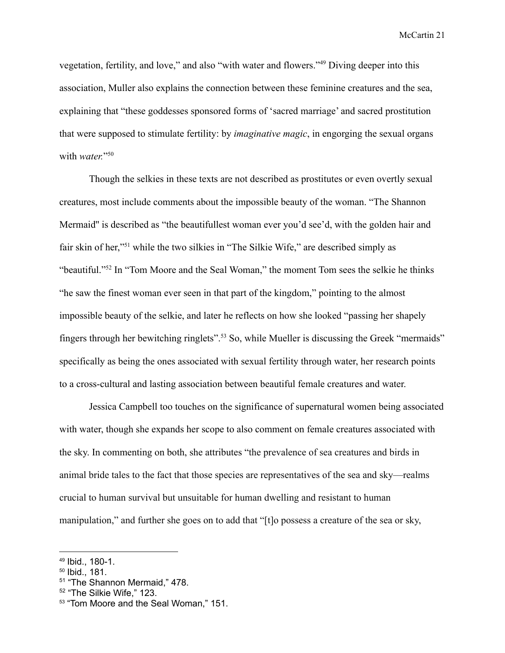vegetation, fertility, and love," and also "with water and flowers."<sup>49</sup> Diving deeper into this association, Muller also explains the connection between these feminine creatures and the sea, explaining that "these goddesses sponsored forms of 'sacred marriage' and sacred prostitution that were supposed to stimulate fertility: by *imaginative magic*, in engorging the sexual organs with *water.*"<sup>50</sup>

Though the selkies in these texts are not described as prostitutes or even overtly sexual creatures, most include comments about the impossible beauty of the woman. "The Shannon Mermaid'' is described as "the beautifullest woman ever you'd see'd, with the golden hair and fair skin of her,"<sup>51</sup> while the two silkies in "The Silkie Wife," are described simply as "beautiful."<sup>52</sup> In "Tom Moore and the Seal Woman," the moment Tom sees the selkie he thinks "he saw the finest woman ever seen in that part of the kingdom," pointing to the almost impossible beauty of the selkie, and later he reflects on how she looked "passing her shapely fingers through her bewitching ringlets".<sup>53</sup> So, while Mueller is discussing the Greek "mermaids" specifically as being the ones associated with sexual fertility through water, her research points to a cross-cultural and lasting association between beautiful female creatures and water.

Jessica Campbell too touches on the significance of supernatural women being associated with water, though she expands her scope to also comment on female creatures associated with the sky. In commenting on both, she attributes "the prevalence of sea creatures and birds in animal bride tales to the fact that those species are representatives of the sea and sky—realms crucial to human survival but unsuitable for human dwelling and resistant to human manipulation," and further she goes on to add that "[t]o possess a creature of the sea or sky,

<sup>49</sup> Ibid., 180-1.

<sup>50</sup> Ibid., 181.

<sup>51</sup> "The Shannon Mermaid," 478.

<sup>52</sup> "The Silkie Wife," 123.

<sup>53</sup> "Tom Moore and the Seal Woman," 151.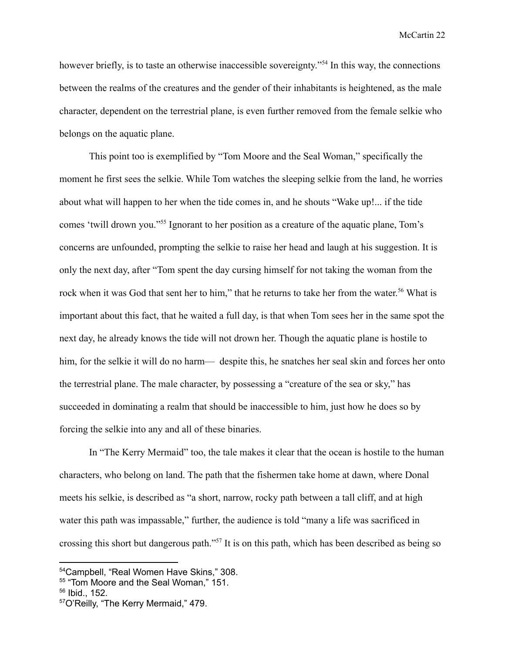however briefly, is to taste an otherwise inaccessible sovereignty."<sup>54</sup> In this way, the connections between the realms of the creatures and the gender of their inhabitants is heightened, as the male character, dependent on the terrestrial plane, is even further removed from the female selkie who belongs on the aquatic plane.

This point too is exemplified by "Tom Moore and the Seal Woman," specifically the moment he first sees the selkie. While Tom watches the sleeping selkie from the land, he worries about what will happen to her when the tide comes in, and he shouts "Wake up!... if the tide comes 'twill drown you."<sup>55</sup> Ignorant to her position as a creature of the aquatic plane, Tom's concerns are unfounded, prompting the selkie to raise her head and laugh at his suggestion. It is only the next day, after "Tom spent the day cursing himself for not taking the woman from the rock when it was God that sent her to him," that he returns to take her from the water.<sup>56</sup> What is important about this fact, that he waited a full day, is that when Tom sees her in the same spot the next day, he already knows the tide will not drown her. Though the aquatic plane is hostile to him, for the selkie it will do no harm— despite this, he snatches her seal skin and forces her onto the terrestrial plane. The male character, by possessing a "creature of the sea or sky," has succeeded in dominating a realm that should be inaccessible to him, just how he does so by forcing the selkie into any and all of these binaries.

In "The Kerry Mermaid" too, the tale makes it clear that the ocean is hostile to the human characters, who belong on land. The path that the fishermen take home at dawn, where Donal meets his selkie, is described as "a short, narrow, rocky path between a tall cliff, and at high water this path was impassable," further, the audience is told "many a life was sacrificed in crossing this short but dangerous path."<sup>57</sup> It is on this path, which has been described as being so

<sup>54</sup>Campbell, "Real Women Have Skins," 308.

<sup>55</sup> "Tom Moore and the Seal Woman," 151.

<sup>56</sup> Ibid., 152.

<sup>57</sup>O'Reilly, "The Kerry Mermaid," 479.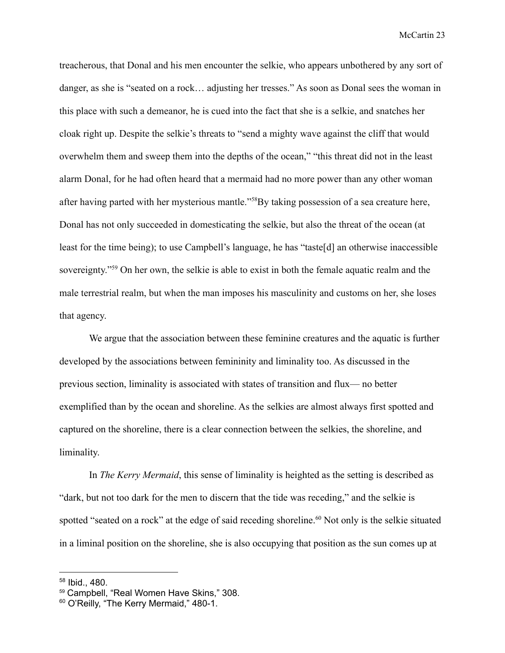treacherous, that Donal and his men encounter the selkie, who appears unbothered by any sort of danger, as she is "seated on a rock… adjusting her tresses." As soon as Donal sees the woman in this place with such a demeanor, he is cued into the fact that she is a selkie, and snatches her cloak right up. Despite the selkie's threats to "send a mighty wave against the cliff that would overwhelm them and sweep them into the depths of the ocean," "this threat did not in the least alarm Donal, for he had often heard that a mermaid had no more power than any other woman after having parted with her mysterious mantle."<sup>58</sup>By taking possession of a sea creature here, Donal has not only succeeded in domesticating the selkie, but also the threat of the ocean (at least for the time being); to use Campbell's language, he has "taste[d] an otherwise inaccessible sovereignty."<sup>59</sup> On her own, the selkie is able to exist in both the female aquatic realm and the male terrestrial realm, but when the man imposes his masculinity and customs on her, she loses that agency.

We argue that the association between these feminine creatures and the aquatic is further developed by the associations between femininity and liminality too. As discussed in the previous section, liminality is associated with states of transition and flux— no better exemplified than by the ocean and shoreline. As the selkies are almost always first spotted and captured on the shoreline, there is a clear connection between the selkies, the shoreline, and liminality.

In *The Kerry Mermaid*, this sense of liminality is heighted as the setting is described as "dark, but not too dark for the men to discern that the tide was receding," and the selkie is spotted "seated on a rock" at the edge of said receding shoreline.<sup>60</sup> Not only is the selkie situated in a liminal position on the shoreline, she is also occupying that position as the sun comes up at

<sup>58</sup> Ibid., 480.

<sup>59</sup> Campbell, "Real Women Have Skins," 308.

<sup>60</sup> O'Reilly, "The Kerry Mermaid," 480-1.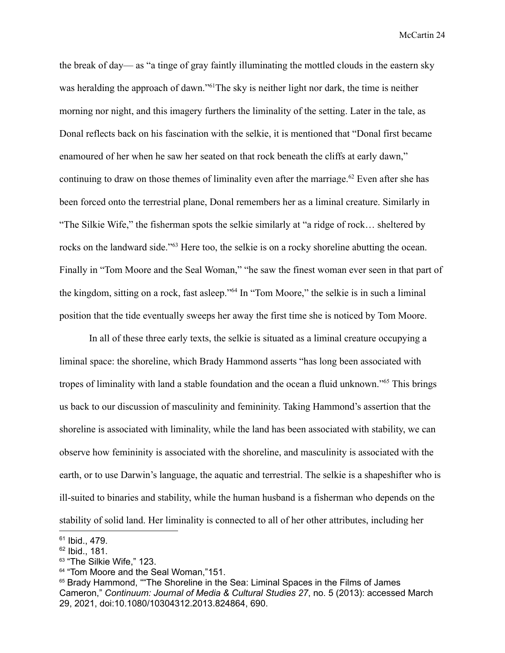the break of day— as "a tinge of gray faintly illuminating the mottled clouds in the eastern sky was heralding the approach of dawn."<sup>61</sup>The sky is neither light nor dark, the time is neither morning nor night, and this imagery furthers the liminality of the setting. Later in the tale, as Donal reflects back on his fascination with the selkie, it is mentioned that "Donal first became enamoured of her when he saw her seated on that rock beneath the cliffs at early dawn," continuing to draw on those themes of liminality even after the marriage.<sup>62</sup> Even after she has been forced onto the terrestrial plane, Donal remembers her as a liminal creature. Similarly in "The Silkie Wife," the fisherman spots the selkie similarly at "a ridge of rock… sheltered by rocks on the landward side."<sup>63</sup> Here too, the selkie is on a rocky shoreline abutting the ocean. Finally in "Tom Moore and the Seal Woman," "he saw the finest woman ever seen in that part of the kingdom, sitting on a rock, fast asleep."<sup>64</sup> In "Tom Moore," the selkie is in such a liminal position that the tide eventually sweeps her away the first time she is noticed by Tom Moore.

In all of these three early texts, the selkie is situated as a liminal creature occupying a liminal space: the shoreline, which Brady Hammond asserts "has long been associated with tropes of liminality with land a stable foundation and the ocean a fluid unknown."<sup>65</sup> This brings us back to our discussion of masculinity and femininity. Taking Hammond's assertion that the shoreline is associated with liminality, while the land has been associated with stability, we can observe how femininity is associated with the shoreline, and masculinity is associated with the earth, or to use Darwin's language, the aquatic and terrestrial. The selkie is a shapeshifter who is ill-suited to binaries and stability, while the human husband is a fisherman who depends on the stability of solid land. Her liminality is connected to all of her other attributes, including her

<sup>&</sup>lt;sup>61</sup> Ibid., 479.

<sup>62</sup> Ibid., 181.

<sup>63</sup> "The Silkie Wife," 123.

<sup>64</sup> "Tom Moore and the Seal Woman,"151.

<sup>65</sup> Brady Hammond, ""The Shoreline in the Sea: Liminal Spaces in the Films of James Cameron," *Continuum: Journal of Media & Cultural Studies 27*, no. 5 (2013): accessed March 29, 2021, doi:10.1080/10304312.2013.824864, 690.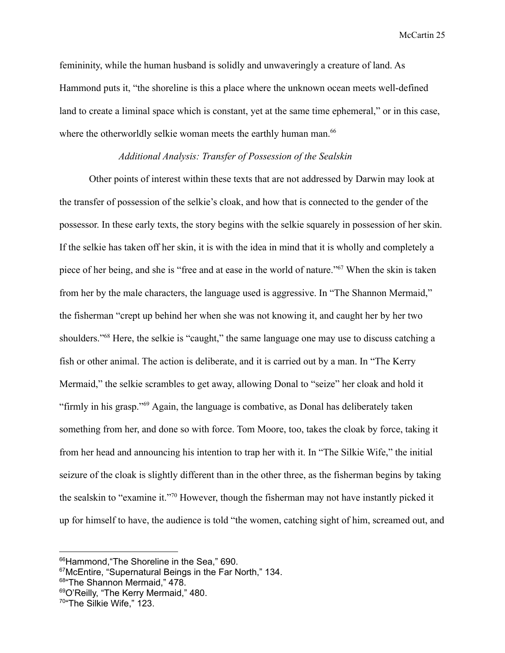femininity, while the human husband is solidly and unwaveringly a creature of land. As Hammond puts it, "the shoreline is this a place where the unknown ocean meets well-defined land to create a liminal space which is constant, yet at the same time ephemeral," or in this case, where the otherworldly selkie woman meets the earthly human man.<sup>66</sup>

## *Additional Analysis: Transfer of Possession of the Sealskin*

Other points of interest within these texts that are not addressed by Darwin may look at the transfer of possession of the selkie's cloak, and how that is connected to the gender of the possessor. In these early texts, the story begins with the selkie squarely in possession of her skin. If the selkie has taken off her skin, it is with the idea in mind that it is wholly and completely a piece of her being, and she is "free and at ease in the world of nature."<sup>67</sup> When the skin is taken from her by the male characters, the language used is aggressive. In "The Shannon Mermaid," the fisherman "crept up behind her when she was not knowing it, and caught her by her two shoulders."<sup>68</sup> Here, the selkie is "caught," the same language one may use to discuss catching a fish or other animal. The action is deliberate, and it is carried out by a man. In "The Kerry Mermaid," the selkie scrambles to get away, allowing Donal to "seize" her cloak and hold it "firmly in his grasp."<sup>69</sup> Again, the language is combative, as Donal has deliberately taken something from her, and done so with force. Tom Moore, too, takes the cloak by force, taking it from her head and announcing his intention to trap her with it. In "The Silkie Wife," the initial seizure of the cloak is slightly different than in the other three, as the fisherman begins by taking the sealskin to "examine it."<sup>70</sup> However, though the fisherman may not have instantly picked it up for himself to have, the audience is told "the women, catching sight of him, screamed out, and

68 "The Shannon Mermaid," 478.

<sup>66</sup>Hammond, "The Shoreline in the Sea," 690.

<sup>67</sup>McEntire, "Supernatural Beings in the Far North," 134.

<sup>69</sup>O'Reilly, "The Kerry Mermaid," 480.

<sup>&</sup>lt;sup>70</sup>"The Silkie Wife," 123.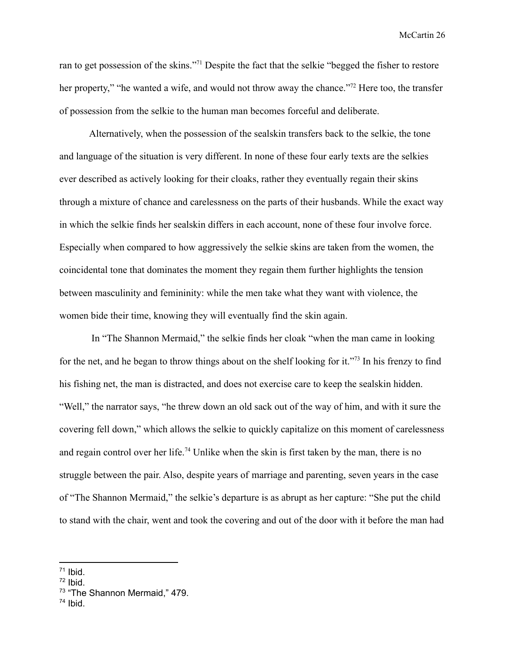ran to get possession of the skins."<sup>71</sup> Despite the fact that the selkie "begged the fisher to restore her property," "he wanted a wife, and would not throw away the chance."<sup>72</sup> Here too, the transfer of possession from the selkie to the human man becomes forceful and deliberate.

Alternatively, when the possession of the sealskin transfers back to the selkie, the tone and language of the situation is very different. In none of these four early texts are the selkies ever described as actively looking for their cloaks, rather they eventually regain their skins through a mixture of chance and carelessness on the parts of their husbands. While the exact way in which the selkie finds her sealskin differs in each account, none of these four involve force. Especially when compared to how aggressively the selkie skins are taken from the women, the coincidental tone that dominates the moment they regain them further highlights the tension between masculinity and femininity: while the men take what they want with violence, the women bide their time, knowing they will eventually find the skin again.

In "The Shannon Mermaid," the selkie finds her cloak "when the man came in looking for the net, and he began to throw things about on the shelf looking for it."<sup>73</sup> In his frenzy to find his fishing net, the man is distracted, and does not exercise care to keep the sealskin hidden. "Well," the narrator says, "he threw down an old sack out of the way of him, and with it sure the covering fell down," which allows the selkie to quickly capitalize on this moment of carelessness and regain control over her life.<sup>74</sup> Unlike when the skin is first taken by the man, there is no struggle between the pair. Also, despite years of marriage and parenting, seven years in the case of "The Shannon Mermaid," the selkie's departure is as abrupt as her capture: "She put the child to stand with the chair, went and took the covering and out of the door with it before the man had

<sup>71</sup> Ibid.

 $72$  Ibid.

<sup>&</sup>lt;sup>73</sup> "The Shannon Mermaid," 479.

<sup>74</sup> Ibid.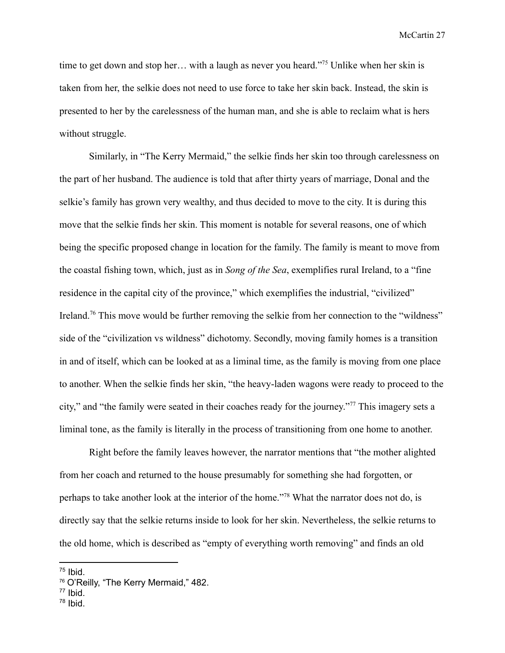time to get down and stop her… with a laugh as never you heard."<sup>75</sup> Unlike when her skin is taken from her, the selkie does not need to use force to take her skin back. Instead, the skin is presented to her by the carelessness of the human man, and she is able to reclaim what is hers without struggle.

Similarly, in "The Kerry Mermaid," the selkie finds her skin too through carelessness on the part of her husband. The audience is told that after thirty years of marriage, Donal and the selkie's family has grown very wealthy, and thus decided to move to the city. It is during this move that the selkie finds her skin. This moment is notable for several reasons, one of which being the specific proposed change in location for the family. The family is meant to move from the coastal fishing town, which, just as in *Song of the Sea*, exemplifies rural Ireland, to a "fine residence in the capital city of the province," which exemplifies the industrial, "civilized" Ireland.<sup>76</sup> This move would be further removing the selkie from her connection to the "wildness" side of the "civilization vs wildness" dichotomy. Secondly, moving family homes is a transition in and of itself, which can be looked at as a liminal time, as the family is moving from one place to another. When the selkie finds her skin, "the heavy-laden wagons were ready to proceed to the city," and "the family were seated in their coaches ready for the journey."<sup>77</sup> This imagery sets a liminal tone, as the family is literally in the process of transitioning from one home to another.

Right before the family leaves however, the narrator mentions that "the mother alighted from her coach and returned to the house presumably for something she had forgotten, or perhaps to take another look at the interior of the home."<sup>78</sup> What the narrator does not do, is directly say that the selkie returns inside to look for her skin. Nevertheless, the selkie returns to the old home, which is described as "empty of everything worth removing" and finds an old

<sup>75</sup> Ibid.

<sup>76</sup> O'Reilly, "The Kerry Mermaid," 482.

<sup>77</sup> Ibid.

<sup>78</sup> Ibid.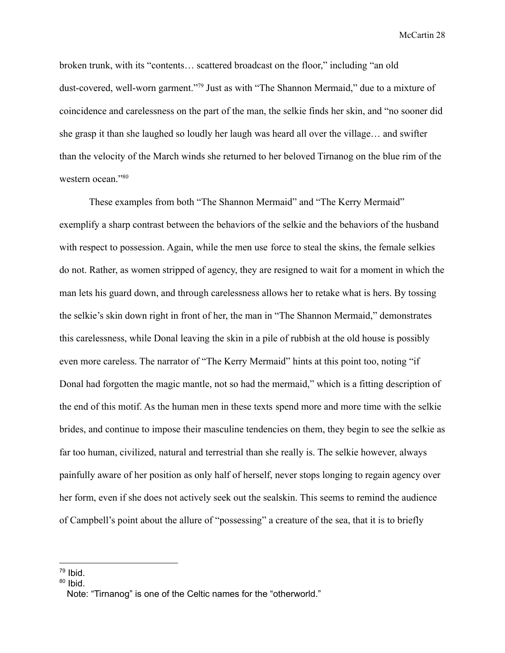broken trunk, with its "contents… scattered broadcast on the floor," including "an old dust-covered, well-worn garment."<sup>79</sup> Just as with "The Shannon Mermaid," due to a mixture of coincidence and carelessness on the part of the man, the selkie finds her skin, and "no sooner did she grasp it than she laughed so loudly her laugh was heard all over the village… and swifter than the velocity of the March winds she returned to her beloved Tirnanog on the blue rim of the western ocean."80

These examples from both "The Shannon Mermaid" and "The Kerry Mermaid" exemplify a sharp contrast between the behaviors of the selkie and the behaviors of the husband with respect to possession. Again, while the men use force to steal the skins, the female selkies do not. Rather, as women stripped of agency, they are resigned to wait for a moment in which the man lets his guard down, and through carelessness allows her to retake what is hers. By tossing the selkie's skin down right in front of her, the man in "The Shannon Mermaid," demonstrates this carelessness, while Donal leaving the skin in a pile of rubbish at the old house is possibly even more careless. The narrator of "The Kerry Mermaid" hints at this point too, noting "if Donal had forgotten the magic mantle, not so had the mermaid," which is a fitting description of the end of this motif. As the human men in these texts spend more and more time with the selkie brides, and continue to impose their masculine tendencies on them, they begin to see the selkie as far too human, civilized, natural and terrestrial than she really is. The selkie however, always painfully aware of her position as only half of herself, never stops longing to regain agency over her form, even if she does not actively seek out the sealskin. This seems to remind the audience of Campbell's point about the allure of "possessing" a creature of the sea, that it is to briefly

<sup>79</sup> Ibid.

<sup>&</sup>lt;sup>80</sup> Ibid.

Note: "Tirnanog" is one of the Celtic names for the "otherworld."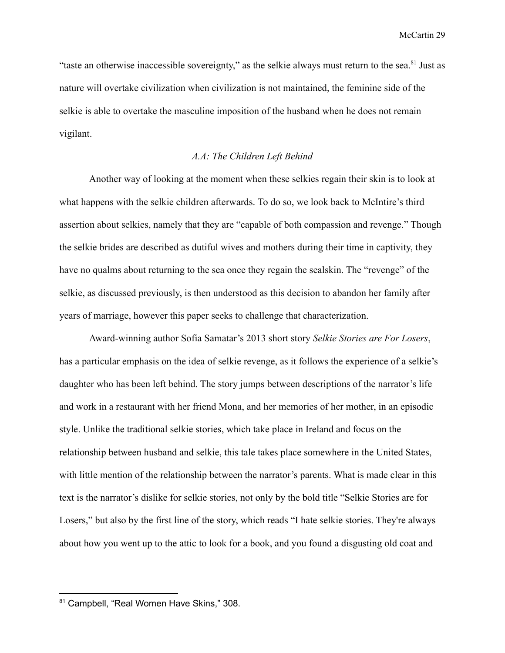"taste an otherwise inaccessible sovereignty," as the selkie always must return to the sea.<sup>81</sup> Just as nature will overtake civilization when civilization is not maintained, the feminine side of the selkie is able to overtake the masculine imposition of the husband when he does not remain vigilant.

# *A.A: The Children Left Behind*

Another way of looking at the moment when these selkies regain their skin is to look at what happens with the selkie children afterwards. To do so, we look back to McIntire's third assertion about selkies, namely that they are "capable of both compassion and revenge." Though the selkie brides are described as dutiful wives and mothers during their time in captivity, they have no qualms about returning to the sea once they regain the sealskin. The "revenge" of the selkie, as discussed previously, is then understood as this decision to abandon her family after years of marriage, however this paper seeks to challenge that characterization.

Award-winning author Sofia Samatar's 2013 short story *Selkie Stories are For Losers*, has a particular emphasis on the idea of selkie revenge, as it follows the experience of a selkie's daughter who has been left behind. The story jumps between descriptions of the narrator's life and work in a restaurant with her friend Mona, and her memories of her mother, in an episodic style. Unlike the traditional selkie stories, which take place in Ireland and focus on the relationship between husband and selkie, this tale takes place somewhere in the United States, with little mention of the relationship between the narrator's parents. What is made clear in this text is the narrator's dislike for selkie stories, not only by the bold title "Selkie Stories are for Losers," but also by the first line of the story, which reads "I hate selkie stories. They're always about how you went up to the attic to look for a book, and you found a disgusting old coat and

<sup>81</sup> Campbell, "Real Women Have Skins," 308.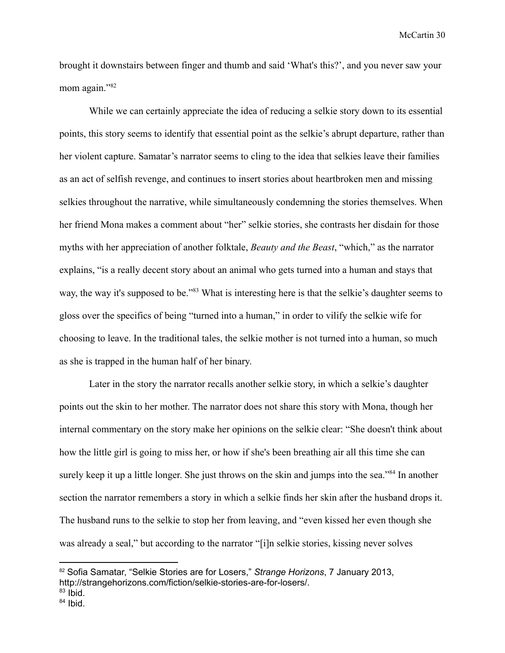brought it downstairs between finger and thumb and said 'What's this?', and you never saw your mom again."82

While we can certainly appreciate the idea of reducing a selkie story down to its essential points, this story seems to identify that essential point as the selkie's abrupt departure, rather than her violent capture. Samatar's narrator seems to cling to the idea that selkies leave their families as an act of selfish revenge, and continues to insert stories about heartbroken men and missing selkies throughout the narrative, while simultaneously condemning the stories themselves. When her friend Mona makes a comment about "her" selkie stories, she contrasts her disdain for those myths with her appreciation of another folktale, *Beauty and the Beast*, "which," as the narrator explains, "is a really decent story about an animal who gets turned into a human and stays that way, the way it's supposed to be."<sup>83</sup> What is interesting here is that the selkie's daughter seems to gloss over the specifics of being "turned into a human," in order to vilify the selkie wife for choosing to leave. In the traditional tales, the selkie mother is not turned into a human, so much as she is trapped in the human half of her binary.

Later in the story the narrator recalls another selkie story, in which a selkie's daughter points out the skin to her mother. The narrator does not share this story with Mona, though her internal commentary on the story make her opinions on the selkie clear: "She doesn't think about how the little girl is going to miss her, or how if she's been breathing air all this time she can surely keep it up a little longer. She just throws on the skin and jumps into the sea."<sup>84</sup> In another section the narrator remembers a story in which a selkie finds her skin after the husband drops it. The husband runs to the selkie to stop her from leaving, and "even kissed her even though she was already a seal," but according to the narrator "[i]n selkie stories, kissing never solves

<sup>82</sup> Sofia Samatar, "Selkie Stories are for Losers," *Strange Horizons*, 7 January 2013, http://strangehorizons.com/fiction/selkie-stories-are-for-losers/.

<sup>&</sup>lt;sup>83</sup> Ibid.

<sup>&</sup>lt;sup>84</sup> Ibid.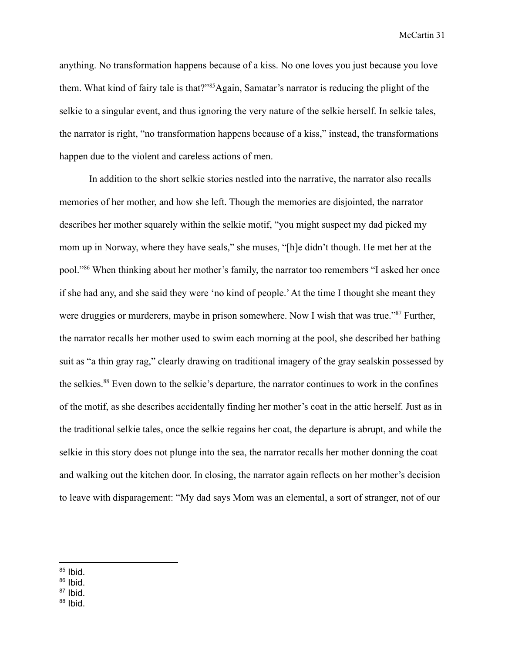anything. No transformation happens because of a kiss. No one loves you just because you love them. What kind of fairy tale is that?"<sup>85</sup>Again, Samatar's narrator is reducing the plight of the selkie to a singular event, and thus ignoring the very nature of the selkie herself. In selkie tales, the narrator is right, "no transformation happens because of a kiss," instead, the transformations happen due to the violent and careless actions of men.

In addition to the short selkie stories nestled into the narrative, the narrator also recalls memories of her mother, and how she left. Though the memories are disjointed, the narrator describes her mother squarely within the selkie motif, "you might suspect my dad picked my mom up in Norway, where they have seals," she muses, "[h]e didn't though. He met her at the pool."<sup>86</sup> When thinking about her mother's family, the narrator too remembers "I asked her once if she had any, and she said they were 'no kind of people.'At the time I thought she meant they were druggies or murderers, maybe in prison somewhere. Now I wish that was true."<sup>87</sup> Further, the narrator recalls her mother used to swim each morning at the pool, she described her bathing suit as "a thin gray rag," clearly drawing on traditional imagery of the gray sealskin possessed by the selkies.<sup>88</sup> Even down to the selkie's departure, the narrator continues to work in the confines of the motif, as she describes accidentally finding her mother's coat in the attic herself. Just as in the traditional selkie tales, once the selkie regains her coat, the departure is abrupt, and while the selkie in this story does not plunge into the sea, the narrator recalls her mother donning the coat and walking out the kitchen door. In closing, the narrator again reflects on her mother's decision to leave with disparagement: "My dad says Mom was an elemental, a sort of stranger, not of our

<sup>87</sup> Ibid.

<sup>&</sup>lt;sup>85</sup> Ibid.

<sup>&</sup>lt;sup>86</sup> Ibid.

<sup>&</sup>lt;sup>88</sup> Ibid.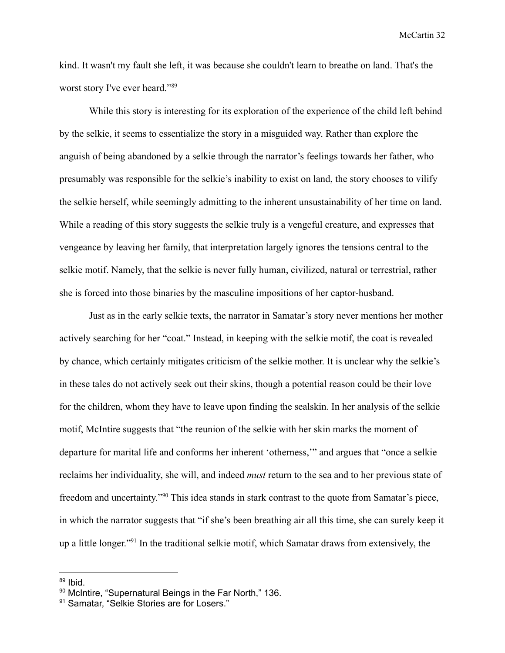kind. It wasn't my fault she left, it was because she couldn't learn to breathe on land. That's the worst story I've ever heard."<sup>89</sup>

While this story is interesting for its exploration of the experience of the child left behind by the selkie, it seems to essentialize the story in a misguided way. Rather than explore the anguish of being abandoned by a selkie through the narrator's feelings towards her father, who presumably was responsible for the selkie's inability to exist on land, the story chooses to vilify the selkie herself, while seemingly admitting to the inherent unsustainability of her time on land. While a reading of this story suggests the selkie truly is a vengeful creature, and expresses that vengeance by leaving her family, that interpretation largely ignores the tensions central to the selkie motif. Namely, that the selkie is never fully human, civilized, natural or terrestrial, rather she is forced into those binaries by the masculine impositions of her captor-husband.

Just as in the early selkie texts, the narrator in Samatar's story never mentions her mother actively searching for her "coat." Instead, in keeping with the selkie motif, the coat is revealed by chance, which certainly mitigates criticism of the selkie mother. It is unclear why the selkie's in these tales do not actively seek out their skins, though a potential reason could be their love for the children, whom they have to leave upon finding the sealskin. In her analysis of the selkie motif, McIntire suggests that "the reunion of the selkie with her skin marks the moment of departure for marital life and conforms her inherent 'otherness,'" and argues that "once a selkie reclaims her individuality, she will, and indeed *must* return to the sea and to her previous state of freedom and uncertainty."<sup>90</sup> This idea stands in stark contrast to the quote from Samatar's piece, in which the narrator suggests that "if she's been breathing air all this time, she can surely keep it up a little longer."<sup>91</sup> In the traditional selkie motif, which Samatar draws from extensively, the

<sup>&</sup>lt;sup>89</sup> Ibid.

<sup>90</sup> McIntire, "Supernatural Beings in the Far North," 136.

<sup>91</sup> Samatar, "Selkie Stories are for Losers."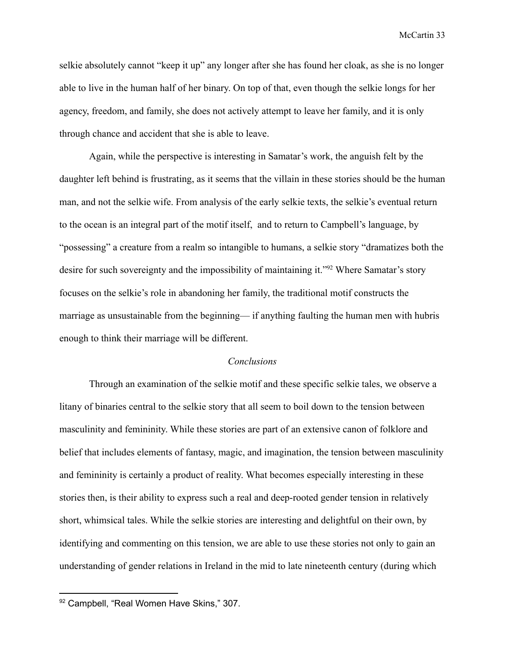selkie absolutely cannot "keep it up" any longer after she has found her cloak, as she is no longer able to live in the human half of her binary. On top of that, even though the selkie longs for her agency, freedom, and family, she does not actively attempt to leave her family, and it is only through chance and accident that she is able to leave.

Again, while the perspective is interesting in Samatar's work, the anguish felt by the daughter left behind is frustrating, as it seems that the villain in these stories should be the human man, and not the selkie wife. From analysis of the early selkie texts, the selkie's eventual return to the ocean is an integral part of the motif itself, and to return to Campbell's language, by "possessing" a creature from a realm so intangible to humans, a selkie story "dramatizes both the desire for such sovereignty and the impossibility of maintaining it."<sup>92</sup> Where Samatar's story focuses on the selkie's role in abandoning her family, the traditional motif constructs the marriage as unsustainable from the beginning— if anything faulting the human men with hubris enough to think their marriage will be different.

## *Conclusions*

Through an examination of the selkie motif and these specific selkie tales, we observe a litany of binaries central to the selkie story that all seem to boil down to the tension between masculinity and femininity. While these stories are part of an extensive canon of folklore and belief that includes elements of fantasy, magic, and imagination, the tension between masculinity and femininity is certainly a product of reality. What becomes especially interesting in these stories then, is their ability to express such a real and deep-rooted gender tension in relatively short, whimsical tales. While the selkie stories are interesting and delightful on their own, by identifying and commenting on this tension, we are able to use these stories not only to gain an understanding of gender relations in Ireland in the mid to late nineteenth century (during which

<sup>92</sup> Campbell, "Real Women Have Skins," 307.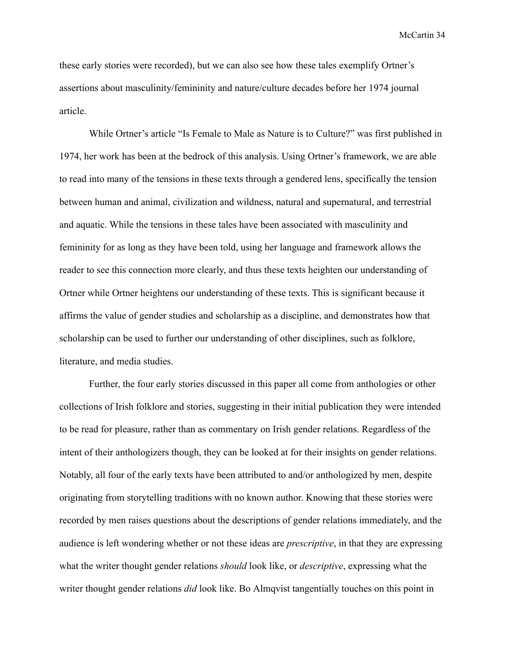these early stories were recorded), but we can also see how these tales exemplify Ortner's assertions about masculinity/femininity and nature/culture decades before her 1974 journal article.

While Ortner's article "Is Female to Male as Nature is to Culture?" was first published in 1974, her work has been at the bedrock of this analysis. Using Ortner's framework, we are able to read into many of the tensions in these texts through a gendered lens, specifically the tension between human and animal, civilization and wildness, natural and supernatural, and terrestrial and aquatic. While the tensions in these tales have been associated with masculinity and femininity for as long as they have been told, using her language and framework allows the reader to see this connection more clearly, and thus these texts heighten our understanding of Ortner while Ortner heightens our understanding of these texts. This is significant because it affirms the value of gender studies and scholarship as a discipline, and demonstrates how that scholarship can be used to further our understanding of other disciplines, such as folklore, literature, and media studies.

Further, the four early stories discussed in this paper all come from anthologies or other collections of Irish folklore and stories, suggesting in their initial publication they were intended to be read for pleasure, rather than as commentary on Irish gender relations. Regardless of the intent of their anthologizers though, they can be looked at for their insights on gender relations. Notably, all four of the early texts have been attributed to and/or anthologized by men, despite originating from storytelling traditions with no known author. Knowing that these stories were recorded by men raises questions about the descriptions of gender relations immediately, and the audience is left wondering whether or not these ideas are *prescriptive*, in that they are expressing what the writer thought gender relations *should* look like, or *descriptive*, expressing what the writer thought gender relations *did* look like. Bo Almqvist tangentially touches on this point in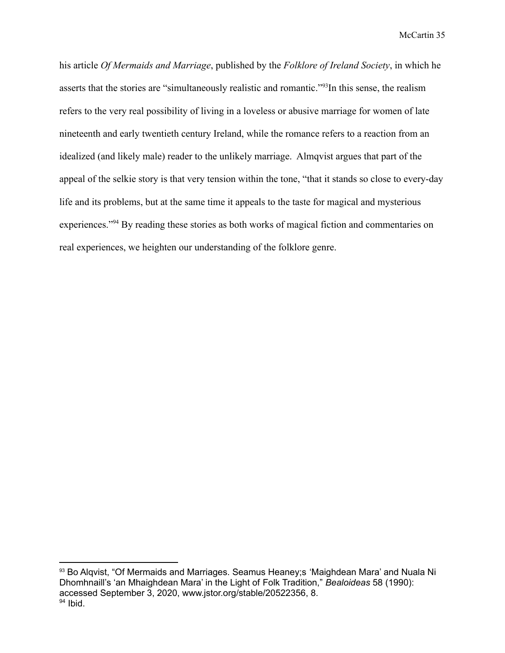his article *Of Mermaids and Marriage*, published by the *Folklore of Ireland Society*, in which he asserts that the stories are "simultaneously realistic and romantic."<sup>93</sup>In this sense, the realism refers to the very real possibility of living in a loveless or abusive marriage for women of late nineteenth and early twentieth century Ireland, while the romance refers to a reaction from an idealized (and likely male) reader to the unlikely marriage. Almqvist argues that part of the appeal of the selkie story is that very tension within the tone, "that it stands so close to every-day life and its problems, but at the same time it appeals to the taste for magical and mysterious experiences."<sup>94</sup> By reading these stories as both works of magical fiction and commentaries on real experiences, we heighten our understanding of the folklore genre.

<sup>&</sup>lt;sup>94</sup> Ibid. 93 Bo Algvist, "Of Mermaids and Marriages. Seamus Heaney; S'Maighdean Mara' and Nuala Ni Dhomhnaill's 'an Mhaighdean Mara' in the Light of Folk Tradition," *Bealoideas* 58 (1990): accessed September 3, 2020, www.jstor.org/stable/20522356, 8.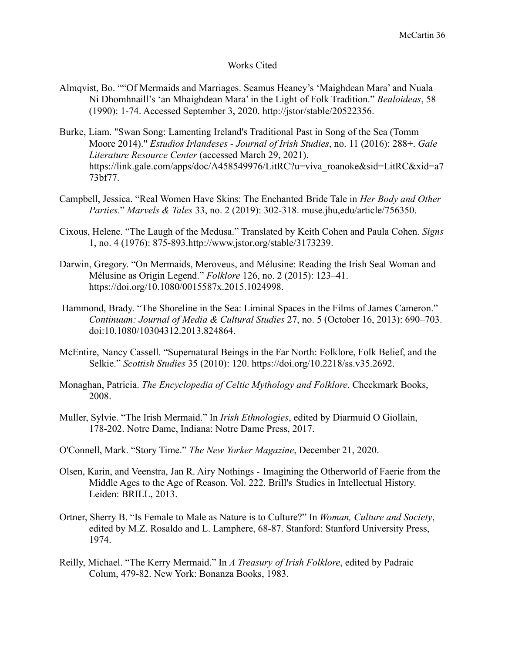## Works Cited

- Almqvist, Bo. ""Of Mermaids and Marriages. Seamus Heaney's 'Maighdean Mara' and Nuala Ni Dhomhnaill's 'an Mhaighdean Mara' in the Light of Folk Tradition." *Bealoideas*, 58 (1990): 1-74. Accessed September 3, 2020. http://jstor/stable/20522356.
- Burke, Liam. "Swan Song: Lamenting Ireland's Traditional Past in Song of the Sea (Tomm Moore 2014)." *Estudios Irlandeses - Journal of Irish Studies*, no. 11 (2016): 288+. *Gale Literature Resource Center* (accessed March 29, 2021). https://link.gale.com/apps/doc/A458549976/LitRC?u=viva\_roanoke&sid=LitRC&xid=a7 73bf77.
- Campbell, Jessica. "Real Women Have Skins: The Enchanted Bride Tale in *Her Body and Other Parties*." *Marvels & Tales* 33, no. 2 (2019): 302-318. muse.jhu,edu/article/756350.
- Cixous, Helene. "The Laugh of the Medusa." Translated by Keith Cohen and Paula Cohen. *Signs* 1, no. 4 (1976): 875-893.http://www.jstor.org/stable/3173239.
- Darwin, Gregory. "On Mermaids, Meroveus, and Mélusine: Reading the Irish Seal Woman and Mélusine as Origin Legend." *Folklore* 126, no. 2 (2015): 123–41. https://doi.org/10.1080/0015587x.2015.1024998.
- Hammond, Brady. "The Shoreline in the Sea: Liminal Spaces in the Films of James Cameron." *Continuum: Journal of Media & Cultural Studies* 27, no. 5 (October 16, 2013): 690–703. doi:10.1080/10304312.2013.824864.
- McEntire, Nancy Cassell. "Supernatural Beings in the Far North: Folklore, Folk Belief, and the Selkie." *Scottish Studies* 35 (2010): 120. https://doi.org/10.2218/ss.v35.2692.
- Monaghan, Patricia. *The Encyclopedia of Celtic Mythology and Folklore*. Checkmark Books, 2008.
- Muller, Sylvie. "The Irish Mermaid." In *Irish Ethnologies*, edited by Diarmuid O Giollain, 178-202. Notre Dame, Indiana: Notre Dame Press, 2017.
- O'Connell, Mark. "Story Time." *The New Yorker Magazine*, December 21, 2020.
- Olsen, Karin, and Veenstra, Jan R. Airy Nothings Imagining the Otherworld of Faerie from the Middle Ages to the Age of Reason. Vol. 222. Brill's Studies in Intellectual History. Leiden: BRILL, 2013.
- Ortner, Sherry B. "Is Female to Male as Nature is to Culture?" In *Woman, Culture and Society*, edited by M.Z. Rosaldo and L. Lamphere, 68-87. Stanford: Stanford University Press, 1974.
- Reilly, Michael. "The Kerry Mermaid." In *A Treasury of Irish Folklore*, edited by Padraic Colum, 479-82. New York: Bonanza Books, 1983.